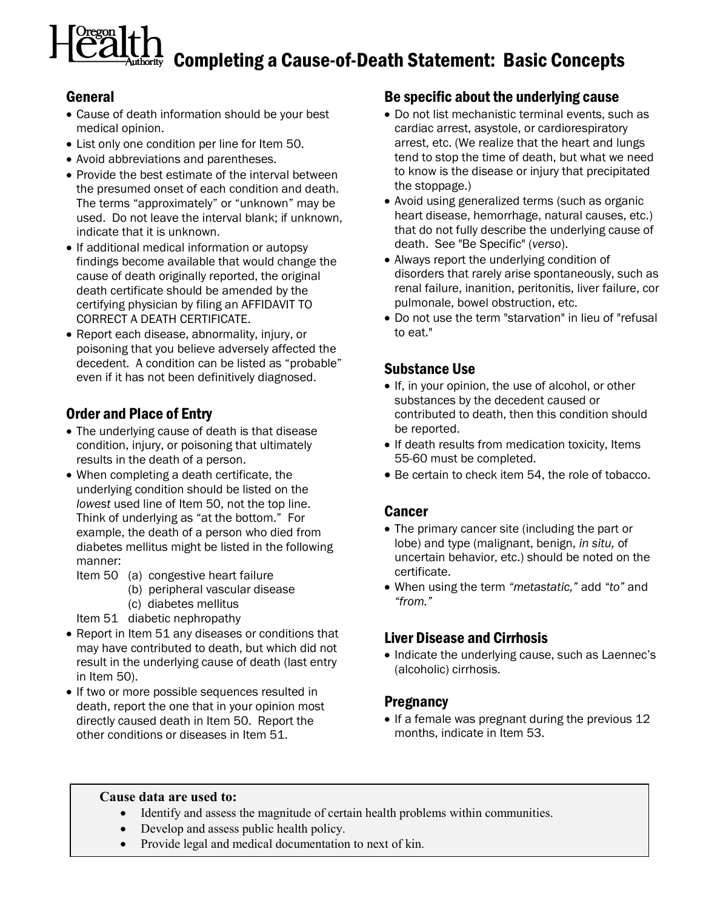# $\frac{L}{\sigma}$  Completing a Cause-of-Death Statement: Basic Concepts

## General

- Cause of death information should be your best medical opinion.
- List only one condition per line for Item 50.
- Avoid abbreviations and parentheses.
- Provide the best estimate of the interval between the presumed onset of each condition and death. The terms "approximately" or "unknown" may be used. Do not leave the interval blank; if unknown, indicate that it is unknown.
- If additional medical information or autopsy findings become available that would change the cause of death originally reported, the original death certificate should be amended by the certifying physician by filing an AFFIDAVIT TO CORRECT A DEATH CERTIFICATE.
- Report each disease, abnormality, injury, or poisoning that you believe adversely affected the decedent. A condition can be listed as "probable" even if it has not been definitively diagnosed.

# Order and Place of Entry

- The underlying cause of death is that disease condition, injury, or poisoning that ultimately results in the death of a person.
- When completing a death certificate, the underlying condition should be listed on the lowest used line of Item 50, not the top line. Think of underlying as "at the bottom." For example, the death of a person who died from diabetes mellitus might be listed in the following manner:
	- Item 50 (a) congestive heart failure
		- (b) peripheral vascular disease
		- (c) diabetes mellitus
	- Item 51 diabetic nephropathy
- Report in Item 51 any diseases or conditions that may have contributed to death, but which did not result in the underlying cause of death (last entry in Item 50).
- If two or more possible sequences resulted in death, report the one that in your opinion most directly caused death in Item 50. Report the other conditions or diseases in Item 51.

## Be specific about the underlying cause

- Do not list mechanistic terminal events, such as cardiac arrest, asystole, or cardiorespiratory arrest, etc. (We realize that the heart and lungs tend to stop the time of death, but what we need to know is the disease or injury that precipitated the stoppage.)
- Avoid using generalized terms (such as organic heart disease, hemorrhage, natural causes, etc.) that do not fully describe the underlying cause of death. See "Be Specific" (verso).
- Always report the underlying condition of disorders that rarely arise spontaneously, such as renal failure, inanition, peritonitis, liver failure, cor pulmonale, bowel obstruction, etc.
- Do not use the term "starvation" in lieu of "refusal to eat."

# Substance Use

- If, in your opinion, the use of alcohol, or other substances by the decedent caused or contributed to death, then this condition should be reported.
- If death results from medication toxicity, Items 55-60 must be completed.
- Be certain to check item 54, the role of tobacco.

## Cancer

- The primary cancer site (including the part or lobe) and type (malignant, benign, in situ, of uncertain behavior, etc.) should be noted on the certificate.
- When using the term "metastatic," add "to" and "from."

# Liver Disease and Cirrhosis

• Indicate the underlying cause, such as Laennec's (alcoholic) cirrhosis.

## **Pregnancy**

• If a female was pregnant during the previous 12 months, indicate in Item 53.

#### Cause data are used to:

- Identify and assess the magnitude of certain health problems within communities.
- Develop and assess public health policy.
- Provide legal and medical documentation to next of kin.